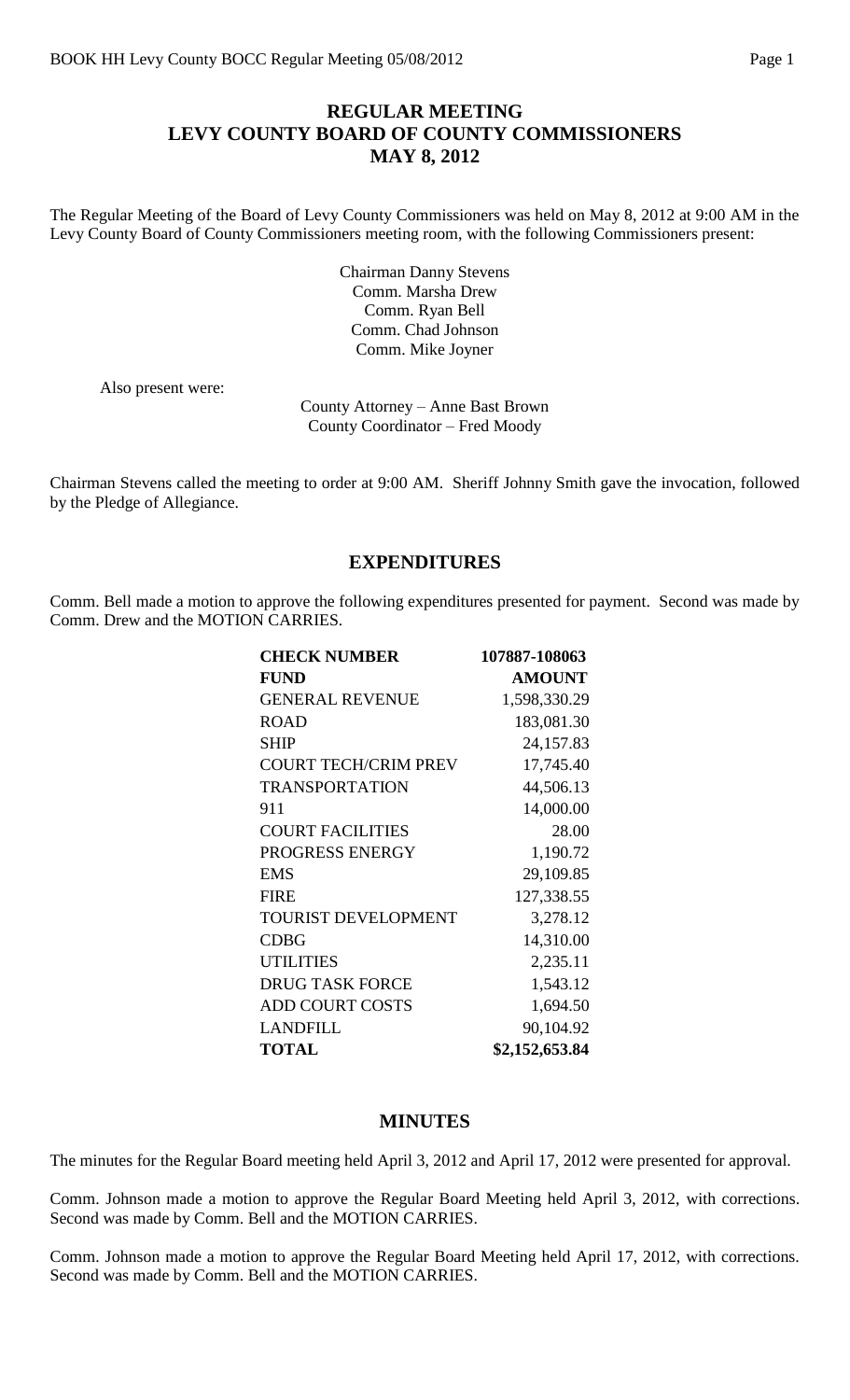## **REGULAR MEETING LEVY COUNTY BOARD OF COUNTY COMMISSIONERS MAY 8, 2012**

The Regular Meeting of the Board of Levy County Commissioners was held on May 8, 2012 at 9:00 AM in the Levy County Board of County Commissioners meeting room, with the following Commissioners present:

> Chairman Danny Stevens Comm. Marsha Drew Comm. Ryan Bell Comm. Chad Johnson Comm. Mike Joyner

Also present were:

County Attorney – Anne Bast Brown County Coordinator – Fred Moody

Chairman Stevens called the meeting to order at 9:00 AM. Sheriff Johnny Smith gave the invocation, followed by the Pledge of Allegiance.

#### **EXPENDITURES**

Comm. Bell made a motion to approve the following expenditures presented for payment. Second was made by Comm. Drew and the MOTION CARRIES.

| <b>CHECK NUMBER</b>         | 107887-108063  |
|-----------------------------|----------------|
| <b>FUND</b>                 | <b>AMOUNT</b>  |
| <b>GENERAL REVENUE</b>      | 1,598,330.29   |
| <b>ROAD</b>                 | 183,081.30     |
| <b>SHIP</b>                 | 24,157.83      |
| <b>COURT TECH/CRIM PREV</b> | 17,745.40      |
| <b>TRANSPORTATION</b>       | 44,506.13      |
| 911                         | 14,000.00      |
| <b>COURT FACILITIES</b>     | 28.00          |
| PROGRESS ENERGY             | 1,190.72       |
| <b>EMS</b>                  | 29,109.85      |
| <b>FIRE</b>                 | 127,338.55     |
| <b>TOURIST DEVELOPMENT</b>  | 3,278.12       |
| <b>CDBG</b>                 | 14,310.00      |
| <b>UTILITIES</b>            | 2,235.11       |
| <b>DRUG TASK FORCE</b>      | 1,543.12       |
| <b>ADD COURT COSTS</b>      | 1,694.50       |
| <b>LANDFILL</b>             | 90,104.92      |
| <b>TOTAL</b>                | \$2,152,653.84 |

#### **MINUTES**

The minutes for the Regular Board meeting held April 3, 2012 and April 17, 2012 were presented for approval.

Comm. Johnson made a motion to approve the Regular Board Meeting held April 3, 2012, with corrections. Second was made by Comm. Bell and the MOTION CARRIES.

Comm. Johnson made a motion to approve the Regular Board Meeting held April 17, 2012, with corrections. Second was made by Comm. Bell and the MOTION CARRIES.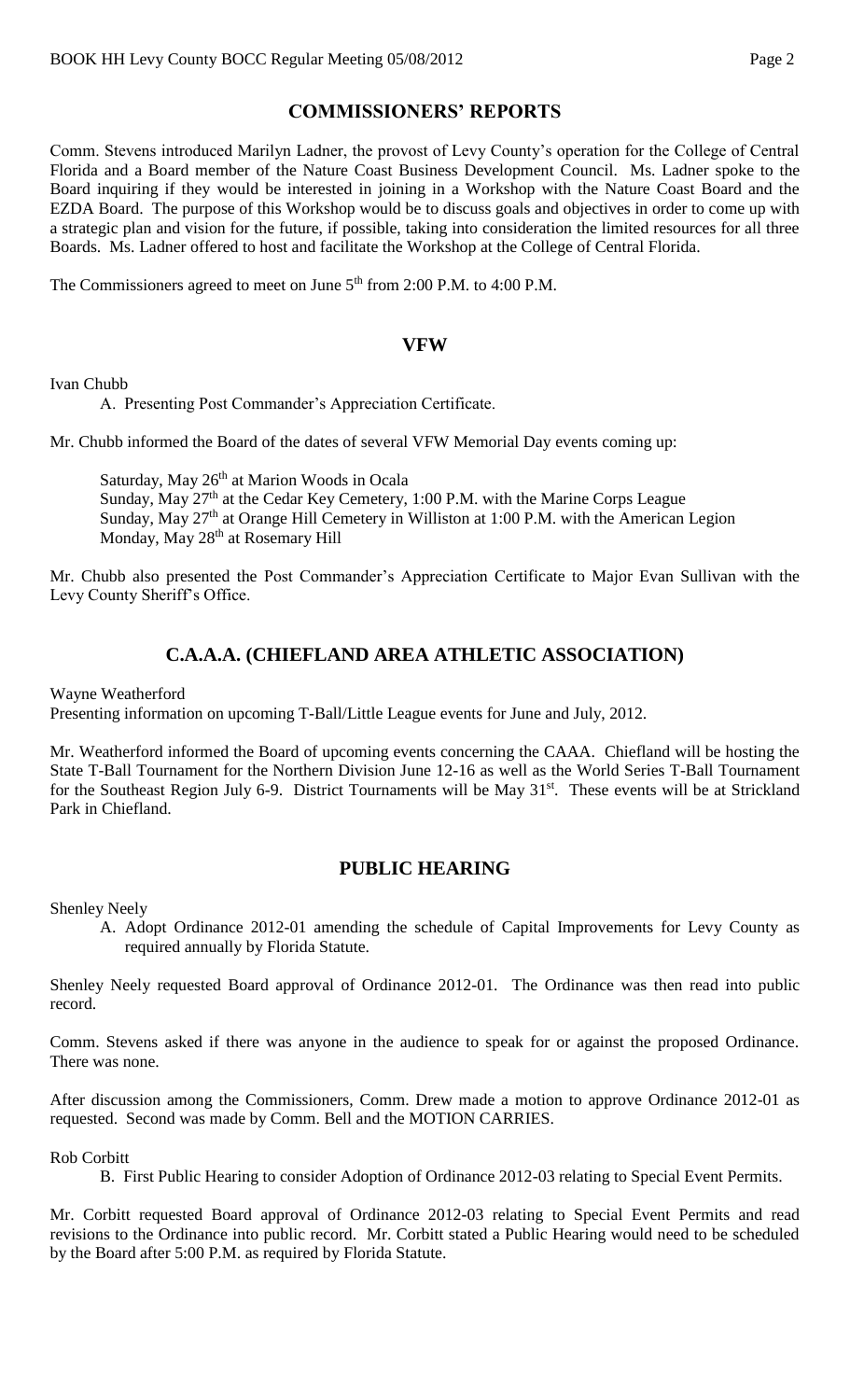# **COMMISSIONERS' REPORTS**

Comm. Stevens introduced Marilyn Ladner, the provost of Levy County's operation for the College of Central Florida and a Board member of the Nature Coast Business Development Council. Ms. Ladner spoke to the Board inquiring if they would be interested in joining in a Workshop with the Nature Coast Board and the EZDA Board. The purpose of this Workshop would be to discuss goals and objectives in order to come up with a strategic plan and vision for the future, if possible, taking into consideration the limited resources for all three Boards. Ms. Ladner offered to host and facilitate the Workshop at the College of Central Florida.

The Commissioners agreed to meet on June 5<sup>th</sup> from 2:00 P.M. to 4:00 P.M.

## **VFW**

Ivan Chubb

A. Presenting Post Commander's Appreciation Certificate.

Mr. Chubb informed the Board of the dates of several VFW Memorial Day events coming up:

Saturday, May 26<sup>th</sup> at Marion Woods in Ocala Sunday, May  $27<sup>th</sup>$  at the Cedar Key Cemetery, 1:00 P.M. with the Marine Corps League Sunday, May 27<sup>th</sup> at Orange Hill Cemetery in Williston at 1:00 P.M. with the American Legion Monday, May 28<sup>th</sup> at Rosemary Hill

Mr. Chubb also presented the Post Commander's Appreciation Certificate to Major Evan Sullivan with the Levy County Sheriff's Office.

# **C.A.A.A. (CHIEFLAND AREA ATHLETIC ASSOCIATION)**

Wayne Weatherford

Presenting information on upcoming T-Ball/Little League events for June and July, 2012.

Mr. Weatherford informed the Board of upcoming events concerning the CAAA. Chiefland will be hosting the State T-Ball Tournament for the Northern Division June 12-16 as well as the World Series T-Ball Tournament for the Southeast Region July 6-9. District Tournaments will be May 31<sup>st</sup>. These events will be at Strickland Park in Chiefland.

### **PUBLIC HEARING**

Shenley Neely

A. Adopt Ordinance 2012-01 amending the schedule of Capital Improvements for Levy County as required annually by Florida Statute.

Shenley Neely requested Board approval of Ordinance 2012-01. The Ordinance was then read into public record.

Comm. Stevens asked if there was anyone in the audience to speak for or against the proposed Ordinance. There was none.

After discussion among the Commissioners, Comm. Drew made a motion to approve Ordinance 2012-01 as requested. Second was made by Comm. Bell and the MOTION CARRIES.

Rob Corbitt

B. First Public Hearing to consider Adoption of Ordinance 2012-03 relating to Special Event Permits.

Mr. Corbitt requested Board approval of Ordinance 2012-03 relating to Special Event Permits and read revisions to the Ordinance into public record. Mr. Corbitt stated a Public Hearing would need to be scheduled by the Board after 5:00 P.M. as required by Florida Statute.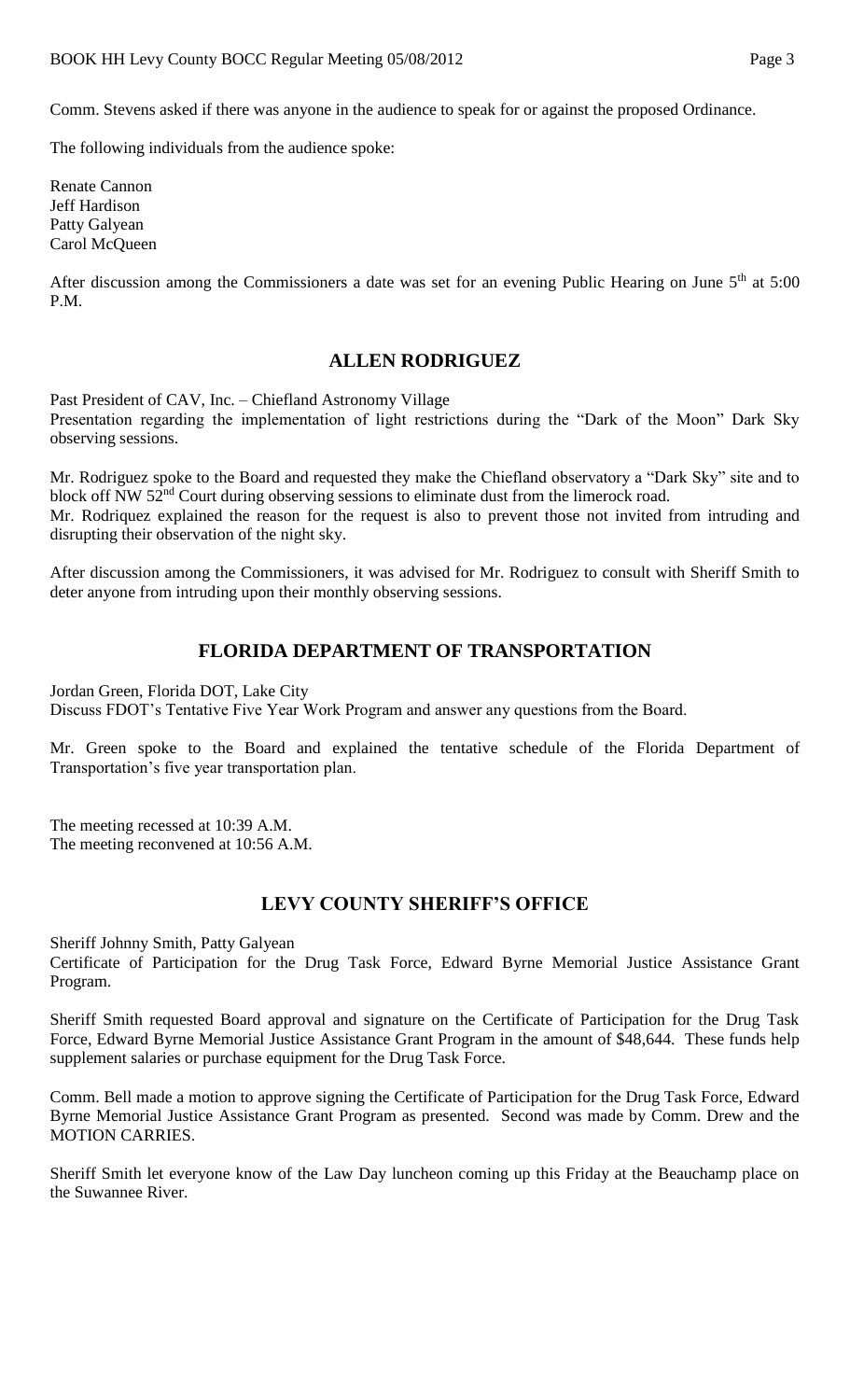Comm. Stevens asked if there was anyone in the audience to speak for or against the proposed Ordinance.

The following individuals from the audience spoke:

Renate Cannon Jeff Hardison Patty Galyean Carol McQueen

After discussion among the Commissioners a date was set for an evening Public Hearing on June 5<sup>th</sup> at 5:00 P.M.

# **ALLEN RODRIGUEZ**

Past President of CAV, Inc. – Chiefland Astronomy Village Presentation regarding the implementation of light restrictions during the "Dark of the Moon" Dark Sky observing sessions.

Mr. Rodriguez spoke to the Board and requested they make the Chiefland observatory a "Dark Sky" site and to block off NW 52<sup>nd</sup> Court during observing sessions to eliminate dust from the limerock road. Mr. Rodriquez explained the reason for the request is also to prevent those not invited from intruding and disrupting their observation of the night sky.

After discussion among the Commissioners, it was advised for Mr. Rodriguez to consult with Sheriff Smith to deter anyone from intruding upon their monthly observing sessions.

## **FLORIDA DEPARTMENT OF TRANSPORTATION**

Jordan Green, Florida DOT, Lake City Discuss FDOT's Tentative Five Year Work Program and answer any questions from the Board.

Mr. Green spoke to the Board and explained the tentative schedule of the Florida Department of Transportation's five year transportation plan.

The meeting recessed at 10:39 A.M. The meeting reconvened at 10:56 A.M.

### **LEVY COUNTY SHERIFF'S OFFICE**

Sheriff Johnny Smith, Patty Galyean

Certificate of Participation for the Drug Task Force, Edward Byrne Memorial Justice Assistance Grant Program.

Sheriff Smith requested Board approval and signature on the Certificate of Participation for the Drug Task Force, Edward Byrne Memorial Justice Assistance Grant Program in the amount of \$48,644. These funds help supplement salaries or purchase equipment for the Drug Task Force.

Comm. Bell made a motion to approve signing the Certificate of Participation for the Drug Task Force, Edward Byrne Memorial Justice Assistance Grant Program as presented. Second was made by Comm. Drew and the MOTION CARRIES.

Sheriff Smith let everyone know of the Law Day luncheon coming up this Friday at the Beauchamp place on the Suwannee River.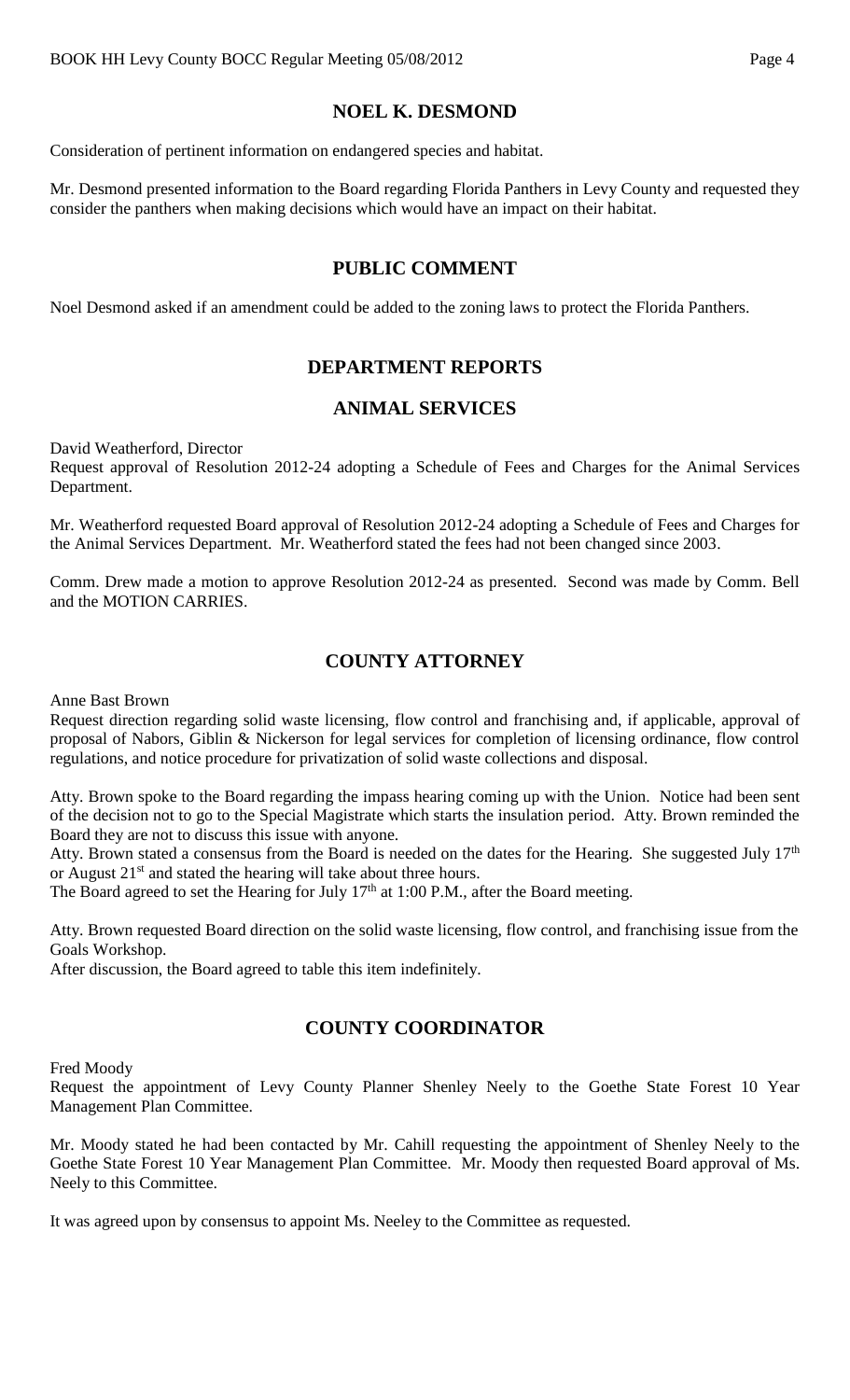# **NOEL K. DESMOND**

Consideration of pertinent information on endangered species and habitat.

Mr. Desmond presented information to the Board regarding Florida Panthers in Levy County and requested they consider the panthers when making decisions which would have an impact on their habitat.

### **PUBLIC COMMENT**

Noel Desmond asked if an amendment could be added to the zoning laws to protect the Florida Panthers.

### **DEPARTMENT REPORTS**

### **ANIMAL SERVICES**

David Weatherford, Director Request approval of Resolution 2012-24 adopting a Schedule of Fees and Charges for the Animal Services Department.

Mr. Weatherford requested Board approval of Resolution 2012-24 adopting a Schedule of Fees and Charges for the Animal Services Department. Mr. Weatherford stated the fees had not been changed since 2003.

Comm. Drew made a motion to approve Resolution 2012-24 as presented. Second was made by Comm. Bell and the MOTION CARRIES.

## **COUNTY ATTORNEY**

Anne Bast Brown

Request direction regarding solid waste licensing, flow control and franchising and, if applicable, approval of proposal of Nabors, Giblin & Nickerson for legal services for completion of licensing ordinance, flow control regulations, and notice procedure for privatization of solid waste collections and disposal.

Atty. Brown spoke to the Board regarding the impass hearing coming up with the Union. Notice had been sent of the decision not to go to the Special Magistrate which starts the insulation period. Atty. Brown reminded the Board they are not to discuss this issue with anyone.

Atty. Brown stated a consensus from the Board is needed on the dates for the Hearing. She suggested July  $17<sup>th</sup>$ or August  $21<sup>st</sup>$  and stated the hearing will take about three hours.

The Board agreed to set the Hearing for July  $17<sup>th</sup>$  at 1:00 P.M., after the Board meeting.

Atty. Brown requested Board direction on the solid waste licensing, flow control, and franchising issue from the Goals Workshop.

After discussion, the Board agreed to table this item indefinitely.

# **COUNTY COORDINATOR**

Fred Moody

Request the appointment of Levy County Planner Shenley Neely to the Goethe State Forest 10 Year Management Plan Committee.

Mr. Moody stated he had been contacted by Mr. Cahill requesting the appointment of Shenley Neely to the Goethe State Forest 10 Year Management Plan Committee. Mr. Moody then requested Board approval of Ms. Neely to this Committee.

It was agreed upon by consensus to appoint Ms. Neeley to the Committee as requested.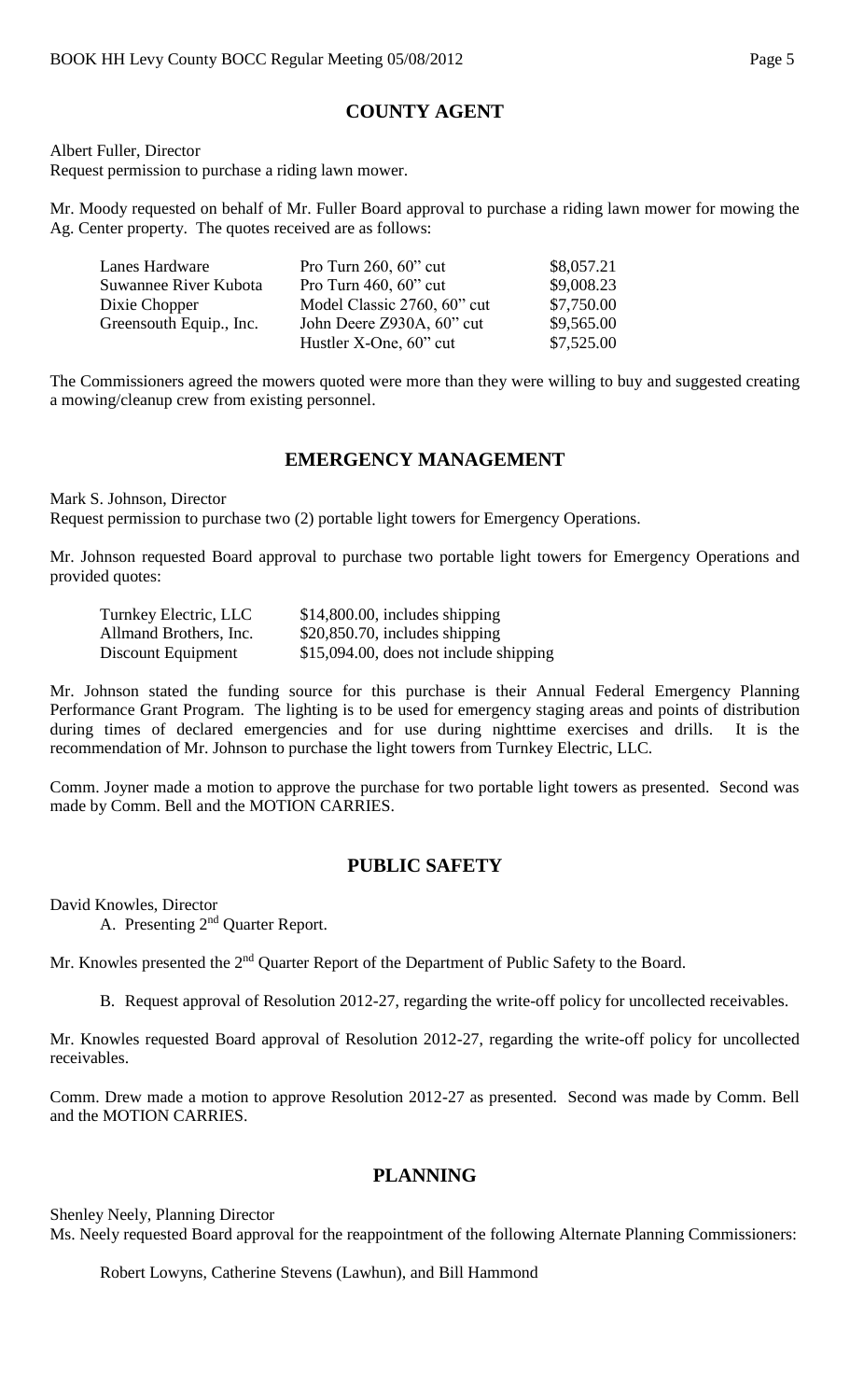# **COUNTY AGENT**

Albert Fuller, Director Request permission to purchase a riding lawn mower.

Mr. Moody requested on behalf of Mr. Fuller Board approval to purchase a riding lawn mower for mowing the Ag. Center property. The quotes received are as follows:

| Lanes Hardware          | Pro Turn $260, 60$ " cut    | \$8,057.21 |
|-------------------------|-----------------------------|------------|
| Suwannee River Kubota   | Pro Turn $460, 60$ " cut    | \$9,008.23 |
| Dixie Chopper           | Model Classic 2760, 60" cut | \$7,750.00 |
| Greensouth Equip., Inc. | John Deere Z930A, 60" cut   | \$9,565.00 |
|                         | Hustler X-One, 60" cut      | \$7,525.00 |

The Commissioners agreed the mowers quoted were more than they were willing to buy and suggested creating a mowing/cleanup crew from existing personnel.

# **EMERGENCY MANAGEMENT**

Mark S. Johnson, Director Request permission to purchase two (2) portable light towers for Emergency Operations.

Mr. Johnson requested Board approval to purchase two portable light towers for Emergency Operations and provided quotes:

| Turnkey Electric, LLC  | $$14,800.00$ , includes shipping       |
|------------------------|----------------------------------------|
| Allmand Brothers, Inc. | $$20,850.70$ , includes shipping       |
| Discount Equipment     | \$15,094.00, does not include shipping |

Mr. Johnson stated the funding source for this purchase is their Annual Federal Emergency Planning Performance Grant Program. The lighting is to be used for emergency staging areas and points of distribution during times of declared emergencies and for use during nighttime exercises and drills. It is the recommendation of Mr. Johnson to purchase the light towers from Turnkey Electric, LLC.

Comm. Joyner made a motion to approve the purchase for two portable light towers as presented. Second was made by Comm. Bell and the MOTION CARRIES.

### **PUBLIC SAFETY**

David Knowles, Director

A. Presenting 2nd Quarter Report.

Mr. Knowles presented the 2<sup>nd</sup> Quarter Report of the Department of Public Safety to the Board.

B. Request approval of Resolution 2012-27, regarding the write-off policy for uncollected receivables.

Mr. Knowles requested Board approval of Resolution 2012-27, regarding the write-off policy for uncollected receivables.

Comm. Drew made a motion to approve Resolution 2012-27 as presented. Second was made by Comm. Bell and the MOTION CARRIES.

# **PLANNING**

Shenley Neely, Planning Director

Ms. Neely requested Board approval for the reappointment of the following Alternate Planning Commissioners:

Robert Lowyns, Catherine Stevens (Lawhun), and Bill Hammond